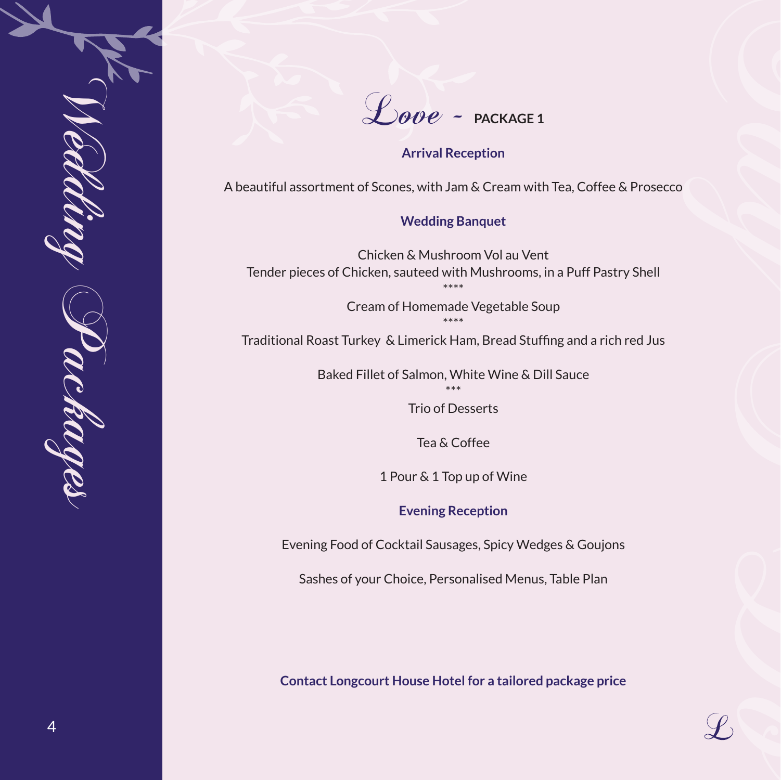

Love - **PACKAGE 1** 

### **Arrival Reception**

A beautiful assortment of Scones, with Jam & Cream with Tea, Coffee & Prosecco

#### **Wedding Banquet**

Chicken & Mushroom Vol au Vent Tender pieces of Chicken, sauteed with Mushrooms, in a Puff Pastry Shell \*\*\*\*

> Cream of Homemade Vegetable Soup \*\*\*\*

Traditional Roast Turkey & Limerick Ham, Bread Stuffing and a rich red Jus

Baked Fillet of Salmon, White Wine & Dill Sauce \*\*\*

Trio of Desserts

Tea & Coffee

1 Pour & 1 Top up of Wine

**Evening Reception**

Evening Food of Cocktail Sausages, Spicy Wedges & Goujons

Sashes of your Choice, Personalised Menus, Table Plan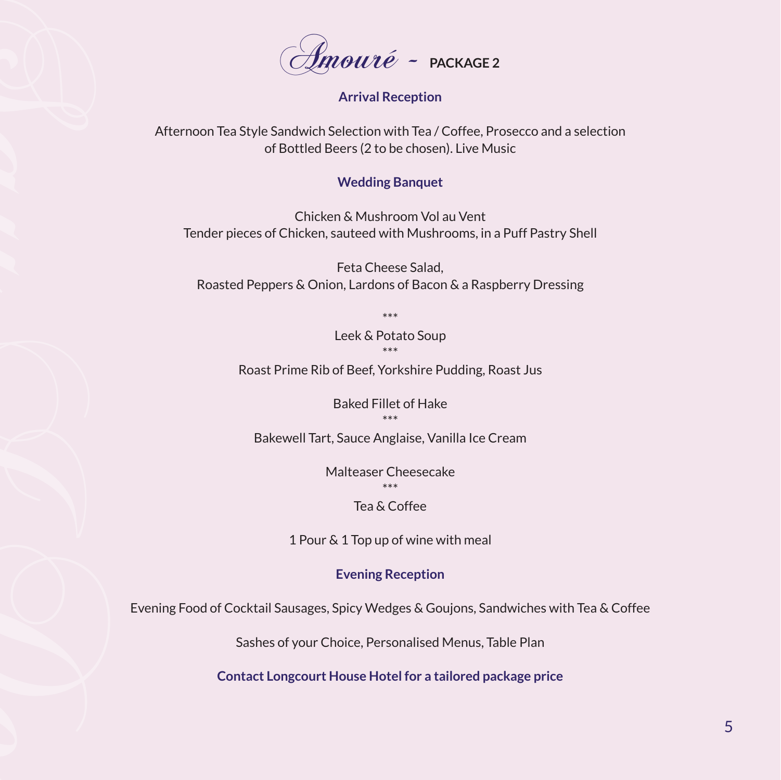

# **Arrival Reception**

Afternoon Tea Style Sandwich Selection with Tea / Coffee, Prosecco and a selection of Bottled Beers (2 to be chosen). Live Music

#### **Wedding Banquet**

Chicken & Mushroom Vol au Vent Tender pieces of Chicken, sauteed with Mushrooms, in a Puff Pastry Shell

Feta Cheese Salad, Roasted Peppers & Onion, Lardons of Bacon & a Raspberry Dressing

> \*\*\* Leek & Potato Soup \*\*\*

Roast Prime Rib of Beef, Yorkshire Pudding, Roast Jus

Baked Fillet of Hake \*\*\*

Bakewell Tart, Sauce Anglaise, Vanilla Ice Cream

Malteaser Cheesecake \*\*\*

# Tea & Coffee

1 Pour & 1 Top up of wine with meal

### **Evening Reception**

Evening Food of Cocktail Sausages, Spicy Wedges & Goujons, Sandwiches with Tea & Coffee

Sashes of your Choice, Personalised Menus, Table Plan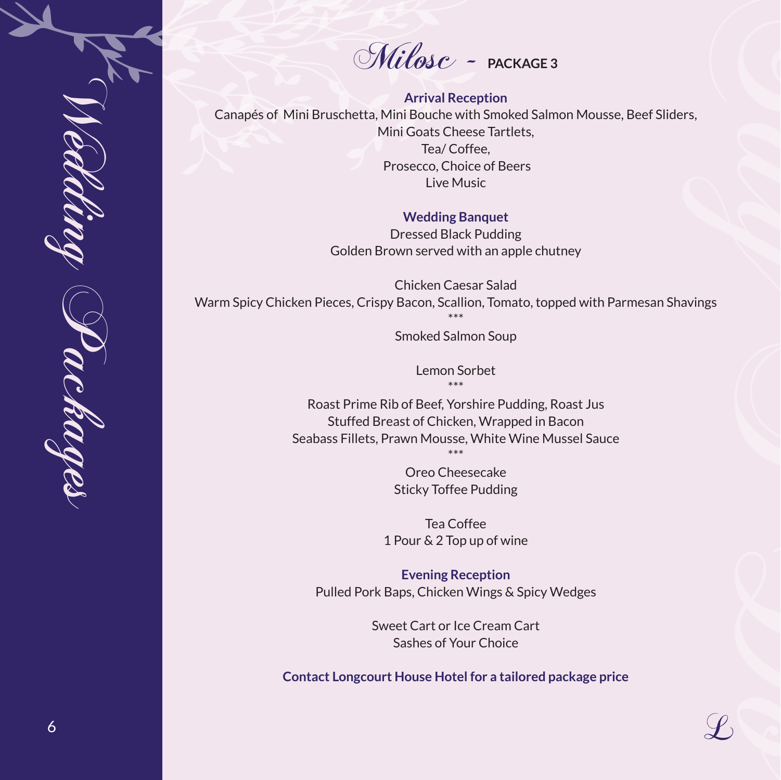Milosc - **PACKAGE 3** 

**Arrival Reception** Canapés of Mini Bruschetta, Mini Bouche with Smoked Salmon Mousse, Beef Sliders, Mini Goats Cheese Tartlets, Tea/ Coffee, Prosecco, Choice of Beers Live Music ers, contract of the contract of the contract of the contract of the contract of the contract of the contract of the contract of the contract of the contract of the contract of the contract of the contract of the contract

#### **Wedding Banquet**

Dressed Black Pudding Golden Brown served with an apple chutney

Chicken Caesar Salad Warm Spicy Chicken Pieces, Crispy Bacon, Scallion, Tomato, topped with Parmesan Shavings \*\*\*

Wedding Packages

c kage

6

Smoked Salmon Soup

Lemon Sorbet \*\*\*

Roast Prime Rib of Beef, Yorshire Pudding, Roast Jus Stuffed Breast of Chicken, Wrapped in Bacon Seabass Fillets, Prawn Mousse, White Wine Mussel Sauce \*\*\*

> Oreo Cheesecake Sticky Toffee Pudding

Tea Coffee 1 Pour & 2 Top up of wine

**Evening Reception** Pulled Pork Baps, Chicken Wings & Spicy Wedges

> Sweet Cart or Ice Cream Cart Sashes of Your Choice